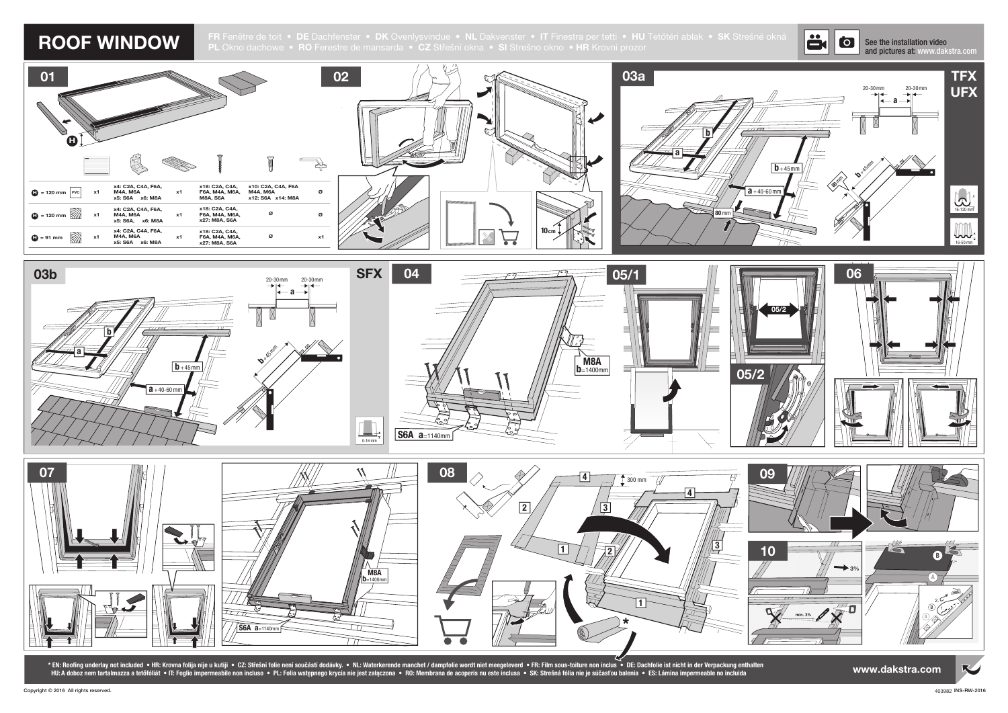ROOF WINDOW FR Fenêtre de toit • DE Dachfenster • DK Ovenlysvindue • NL Dakvenster • IT Finestra per tetti • HU Tetőtéri ablak • SK Strešné okná<br>PL Okno dachowe • RO Ferestre de mansarda • CZ Střešní okna • SI Strešno okno







\* EN: Roofing underlay not included • HR: Krovna folija nije u kutiji • CZ: Střešní folie není součástí dodávky. • NL: Waterkerende manchet / dampfolie wordt niet meegeleverd • FR: Film sous-toiture non inclus • DE: Dachfo HU:A doboz nem tartalmazza a tetőfóliát • IT: Foglio impermeabile non incluso • PL: Folia wstępnego krycia nie jest załączona • RO: Membrana de acoperis nu este inclusa • SK: Strešná fólia nie je súčasťou balenia • ES: Lám

## See the installation video and pictures at: www.dakstra.com